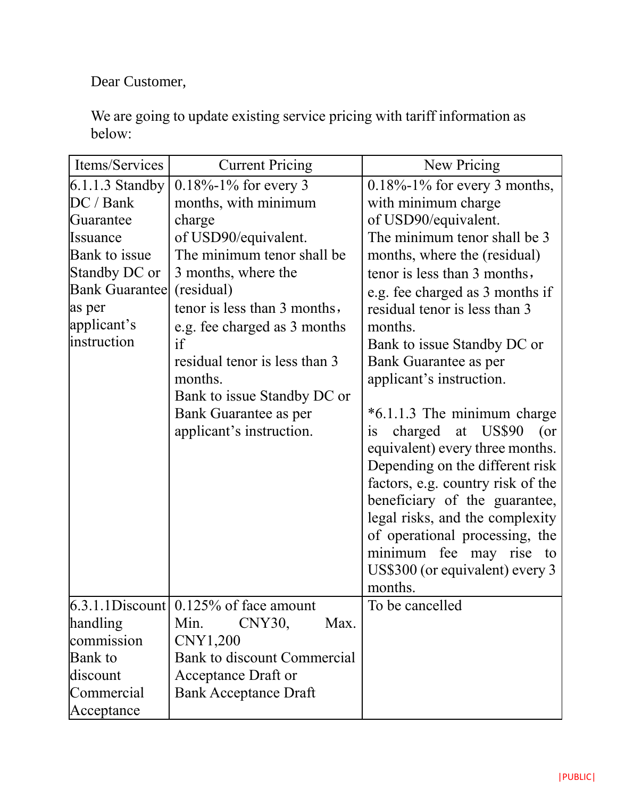Dear Customer,

We are going to update existing service pricing with tariff information as below:

| Items/Services        | <b>Current Pricing</b>                   | New Pricing                       |
|-----------------------|------------------------------------------|-----------------------------------|
| $6.1.1.3$ Standby     | $0.18\% - 1\%$ for every 3               | $0.18\%$ -1% for every 3 months,  |
| DC / Bank             | months, with minimum                     | with minimum charge               |
| Guarantee             | charge                                   | of USD90/equivalent.              |
| Issuance              | of USD90/equivalent.                     | The minimum tenor shall be 3      |
| Bank to issue         | The minimum tenor shall be               | months, where the (residual)      |
| Standby DC or         | 3 months, where the                      | tenor is less than 3 months,      |
| <b>Bank Guarantee</b> | (residual)                               | e.g. fee charged as 3 months if   |
| as per                | tenor is less than 3 months,             | residual tenor is less than 3     |
| applicant's           | e.g. fee charged as 3 months             | months.                           |
| instruction           | if                                       | Bank to issue Standby DC or       |
|                       | residual tenor is less than 3            | Bank Guarantee as per             |
|                       | months.                                  | applicant's instruction.          |
|                       | Bank to issue Standby DC or              |                                   |
|                       | Bank Guarantee as per                    | *6.1.1.3 The minimum charge       |
|                       | applicant's instruction.                 | charged at US\$90<br>$($ or<br>1S |
|                       |                                          | equivalent) every three months.   |
|                       |                                          | Depending on the different risk   |
|                       |                                          | factors, e.g. country risk of the |
|                       |                                          | beneficiary of the guarantee,     |
|                       |                                          | legal risks, and the complexity   |
|                       |                                          | of operational processing, the    |
|                       |                                          | minimum fee may rise to           |
|                       |                                          | US\$300 (or equivalent) every 3   |
|                       |                                          | months.                           |
|                       | $6.3.1.1$ Discount 0.125% of face amount | To be cancelled                   |
| handling              | Min.<br>CNY30,<br>Max.                   |                                   |
| commission            | CNY1,200                                 |                                   |
| <b>Bank</b> to        | Bank to discount Commercial              |                                   |
| discount              | <b>Acceptance Draft or</b>               |                                   |
| Commercial            | <b>Bank Acceptance Draft</b>             |                                   |
| Acceptance            |                                          |                                   |